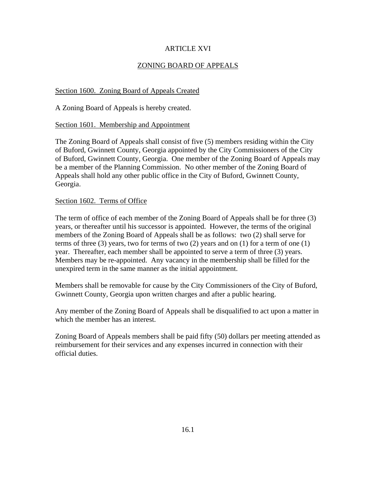# ARTICLE XVI

# ZONING BOARD OF APPEALS

# Section 1600. Zoning Board of Appeals Created

A Zoning Board of Appeals is hereby created.

# Section 1601. Membership and Appointment

The Zoning Board of Appeals shall consist of five (5) members residing within the City of Buford, Gwinnett County, Georgia appointed by the City Commissioners of the City of Buford, Gwinnett County, Georgia. One member of the Zoning Board of Appeals may be a member of the Planning Commission. No other member of the Zoning Board of Appeals shall hold any other public office in the City of Buford, Gwinnett County, Georgia.

## Section 1602. Terms of Office

The term of office of each member of the Zoning Board of Appeals shall be for three (3) years, or thereafter until his successor is appointed. However, the terms of the original members of the Zoning Board of Appeals shall be as follows: two (2) shall serve for terms of three (3) years, two for terms of two (2) years and on (1) for a term of one (1) year. Thereafter, each member shall be appointed to serve a term of three (3) years. Members may be re-appointed. Any vacancy in the membership shall be filled for the unexpired term in the same manner as the initial appointment.

Members shall be removable for cause by the City Commissioners of the City of Buford, Gwinnett County, Georgia upon written charges and after a public hearing.

Any member of the Zoning Board of Appeals shall be disqualified to act upon a matter in which the member has an interest.

Zoning Board of Appeals members shall be paid fifty (50) dollars per meeting attended as reimbursement for their services and any expenses incurred in connection with their official duties.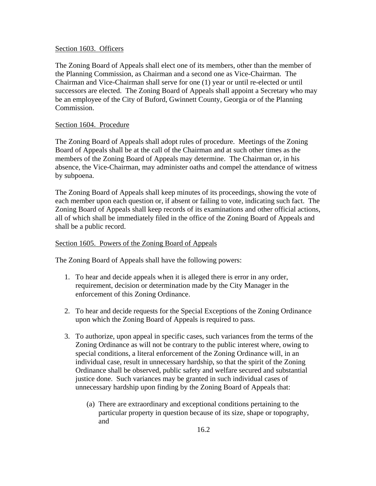## Section 1603. Officers

The Zoning Board of Appeals shall elect one of its members, other than the member of the Planning Commission, as Chairman and a second one as Vice-Chairman. The Chairman and Vice-Chairman shall serve for one (1) year or until re-elected or until successors are elected. The Zoning Board of Appeals shall appoint a Secretary who may be an employee of the City of Buford, Gwinnett County, Georgia or of the Planning Commission.

# Section 1604. Procedure

The Zoning Board of Appeals shall adopt rules of procedure. Meetings of the Zoning Board of Appeals shall be at the call of the Chairman and at such other times as the members of the Zoning Board of Appeals may determine. The Chairman or, in his absence, the Vice-Chairman, may administer oaths and compel the attendance of witness by subpoena.

The Zoning Board of Appeals shall keep minutes of its proceedings, showing the vote of each member upon each question or, if absent or failing to vote, indicating such fact. The Zoning Board of Appeals shall keep records of its examinations and other official actions, all of which shall be immediately filed in the office of the Zoning Board of Appeals and shall be a public record.

# Section 1605. Powers of the Zoning Board of Appeals

The Zoning Board of Appeals shall have the following powers:

- 1. To hear and decide appeals when it is alleged there is error in any order, requirement, decision or determination made by the City Manager in the enforcement of this Zoning Ordinance.
- 2. To hear and decide requests for the Special Exceptions of the Zoning Ordinance upon which the Zoning Board of Appeals is required to pass.
- 3. To authorize, upon appeal in specific cases, such variances from the terms of the Zoning Ordinance as will not be contrary to the public interest where, owing to special conditions, a literal enforcement of the Zoning Ordinance will, in an individual case, result in unnecessary hardship, so that the spirit of the Zoning Ordinance shall be observed, public safety and welfare secured and substantial justice done. Such variances may be granted in such individual cases of unnecessary hardship upon finding by the Zoning Board of Appeals that:
	- (a) There are extraordinary and exceptional conditions pertaining to the particular property in question because of its size, shape or topography, and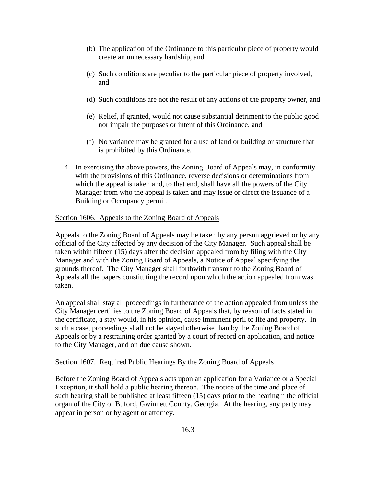- (b) The application of the Ordinance to this particular piece of property would create an unnecessary hardship, and
- (c) Such conditions are peculiar to the particular piece of property involved, and
- (d) Such conditions are not the result of any actions of the property owner, and
- (e) Relief, if granted, would not cause substantial detriment to the public good nor impair the purposes or intent of this Ordinance, and
- (f) No variance may be granted for a use of land or building or structure that is prohibited by this Ordinance.
- 4. In exercising the above powers, the Zoning Board of Appeals may, in conformity with the provisions of this Ordinance, reverse decisions or determinations from which the appeal is taken and, to that end, shall have all the powers of the City Manager from who the appeal is taken and may issue or direct the issuance of a Building or Occupancy permit.

## Section 1606. Appeals to the Zoning Board of Appeals

Appeals to the Zoning Board of Appeals may be taken by any person aggrieved or by any official of the City affected by any decision of the City Manager. Such appeal shall be taken within fifteen (15) days after the decision appealed from by filing with the City Manager and with the Zoning Board of Appeals, a Notice of Appeal specifying the grounds thereof. The City Manager shall forthwith transmit to the Zoning Board of Appeals all the papers constituting the record upon which the action appealed from was taken.

An appeal shall stay all proceedings in furtherance of the action appealed from unless the City Manager certifies to the Zoning Board of Appeals that, by reason of facts stated in the certificate, a stay would, in his opinion, cause imminent peril to life and property. In such a case, proceedings shall not be stayed otherwise than by the Zoning Board of Appeals or by a restraining order granted by a court of record on application, and notice to the City Manager, and on due cause shown.

#### Section 1607. Required Public Hearings By the Zoning Board of Appeals

Before the Zoning Board of Appeals acts upon an application for a Variance or a Special Exception, it shall hold a public hearing thereon. The notice of the time and place of such hearing shall be published at least fifteen (15) days prior to the hearing n the official organ of the City of Buford, Gwinnett County, Georgia. At the hearing, any party may appear in person or by agent or attorney.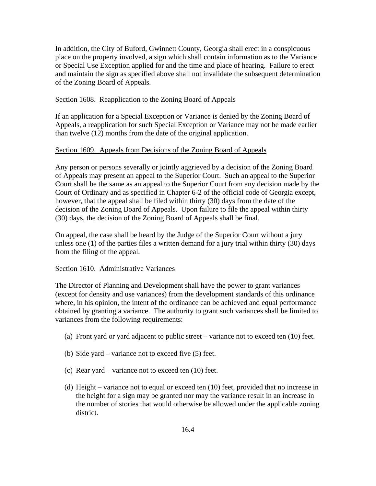In addition, the City of Buford, Gwinnett County, Georgia shall erect in a conspicuous place on the property involved, a sign which shall contain information as to the Variance or Special Use Exception applied for and the time and place of hearing. Failure to erect and maintain the sign as specified above shall not invalidate the subsequent determination of the Zoning Board of Appeals.

#### Section 1608. Reapplication to the Zoning Board of Appeals

If an application for a Special Exception or Variance is denied by the Zoning Board of Appeals, a reapplication for such Special Exception or Variance may not be made earlier than twelve (12) months from the date of the original application.

## Section 1609. Appeals from Decisions of the Zoning Board of Appeals

Any person or persons severally or jointly aggrieved by a decision of the Zoning Board of Appeals may present an appeal to the Superior Court. Such an appeal to the Superior Court shall be the same as an appeal to the Superior Court from any decision made by the Court of Ordinary and as specified in Chapter 6-2 of the official code of Georgia except, however, that the appeal shall be filed within thirty (30) days from the date of the decision of the Zoning Board of Appeals. Upon failure to file the appeal within thirty (30) days, the decision of the Zoning Board of Appeals shall be final.

On appeal, the case shall be heard by the Judge of the Superior Court without a jury unless one (1) of the parties files a written demand for a jury trial within thirty (30) days from the filing of the appeal.

#### Section 1610. Administrative Variances

The Director of Planning and Development shall have the power to grant variances (except for density and use variances) from the development standards of this ordinance where, in his opinion, the intent of the ordinance can be achieved and equal performance obtained by granting a variance. The authority to grant such variances shall be limited to variances from the following requirements:

- (a) Front yard or yard adjacent to public street variance not to exceed ten (10) feet.
- (b) Side yard variance not to exceed five (5) feet.
- (c) Rear yard variance not to exceed ten (10) feet.
- (d) Height variance not to equal or exceed ten (10) feet, provided that no increase in the height for a sign may be granted nor may the variance result in an increase in the number of stories that would otherwise be allowed under the applicable zoning district.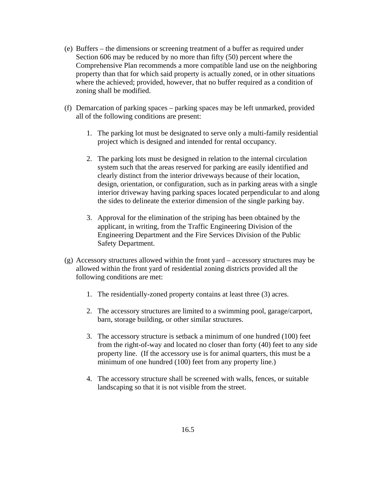- (e) Buffers the dimensions or screening treatment of a buffer as required under Section 606 may be reduced by no more than fifty (50) percent where the Comprehensive Plan recommends a more compatible land use on the neighboring property than that for which said property is actually zoned, or in other situations where the achieved; provided, however, that no buffer required as a condition of zoning shall be modified.
- (f) Demarcation of parking spaces parking spaces may be left unmarked, provided all of the following conditions are present:
	- 1. The parking lot must be designated to serve only a multi-family residential project which is designed and intended for rental occupancy.
	- 2. The parking lots must be designed in relation to the internal circulation system such that the areas reserved for parking are easily identified and clearly distinct from the interior driveways because of their location, design, orientation, or configuration, such as in parking areas with a single interior driveway having parking spaces located perpendicular to and along the sides to delineate the exterior dimension of the single parking bay.
	- 3. Approval for the elimination of the striping has been obtained by the applicant, in writing, from the Traffic Engineering Division of the Engineering Department and the Fire Services Division of the Public Safety Department.
- (g) Accessory structures allowed within the front yard accessory structures may be allowed within the front yard of residential zoning districts provided all the following conditions are met:
	- 1. The residentially-zoned property contains at least three (3) acres.
	- 2. The accessory structures are limited to a swimming pool, garage/carport, barn, storage building, or other similar structures.
	- 3. The accessory structure is setback a minimum of one hundred (100) feet from the right-of-way and located no closer than forty (40) feet to any side property line. (If the accessory use is for animal quarters, this must be a minimum of one hundred (100) feet from any property line.)
	- 4. The accessory structure shall be screened with walls, fences, or suitable landscaping so that it is not visible from the street.